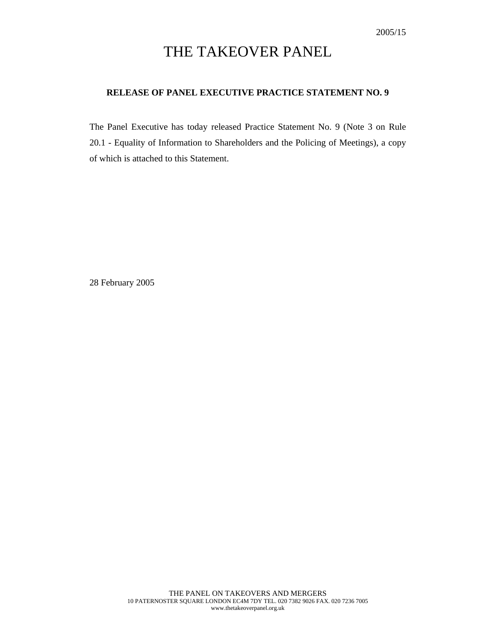# THE TAKEOVER PANEL

### **RELEASE OF PANEL EXECUTIVE PRACTICE STATEMENT NO. 9**

The Panel Executive has today released Practice Statement No. 9 (Note 3 on Rule 20.1 - Equality of Information to Shareholders and the Policing of Meetings), a copy of which is attached to this Statement.

28 February 2005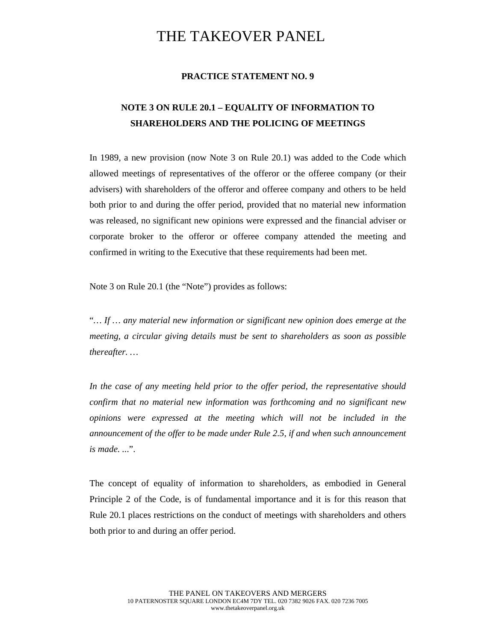## THE TAKEOVER PANEL

#### **PRACTICE STATEMENT NO. 9**

### **NOTE 3 ON RULE 20.1 – EQUALITY OF INFORMATION TO SHAREHOLDERS AND THE POLICING OF MEETINGS**

In 1989, a new provision (now Note 3 on Rule 20.1) was added to the Code which allowed meetings of representatives of the offeror or the offeree company (or their advisers) with shareholders of the offeror and offeree company and others to be held both prior to and during the offer period, provided that no material new information was released, no significant new opinions were expressed and the financial adviser or corporate broker to the offeror or offeree company attended the meeting and confirmed in writing to the Executive that these requirements had been met.

Note 3 on Rule 20.1 (the "Note") provides as follows:

"*… If … any material new information or significant new opinion does emerge at the meeting, a circular giving details must be sent to shareholders as soon as possible thereafter. …* 

*In the case of any meeting held prior to the offer period, the representative should confirm that no material new information was forthcoming and no significant new opinions were expressed at the meeting which will not be included in the announcement of the offer to be made under Rule 2.5, if and when such announcement is made. ...*".

The concept of equality of information to shareholders, as embodied in General Principle 2 of the Code, is of fundamental importance and it is for this reason that Rule 20.1 places restrictions on the conduct of meetings with shareholders and others both prior to and during an offer period.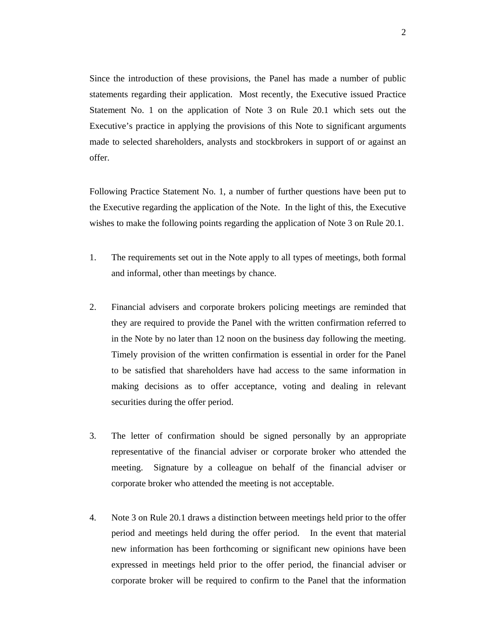Since the introduction of these provisions, the Panel has made a number of public statements regarding their application. Most recently, the Executive issued Practice Statement No. 1 on the application of Note 3 on Rule 20.1 which sets out the Executive's practice in applying the provisions of this Note to significant arguments made to selected shareholders, analysts and stockbrokers in support of or against an offer.

Following Practice Statement No. 1, a number of further questions have been put to the Executive regarding the application of the Note. In the light of this, the Executive wishes to make the following points regarding the application of Note 3 on Rule 20.1.

- 1. The requirements set out in the Note apply to all types of meetings, both formal and informal, other than meetings by chance.
- 2. Financial advisers and corporate brokers policing meetings are reminded that they are required to provide the Panel with the written confirmation referred to in the Note by no later than 12 noon on the business day following the meeting. Timely provision of the written confirmation is essential in order for the Panel to be satisfied that shareholders have had access to the same information in making decisions as to offer acceptance, voting and dealing in relevant securities during the offer period.
- 3. The letter of confirmation should be signed personally by an appropriate representative of the financial adviser or corporate broker who attended the meeting. Signature by a colleague on behalf of the financial adviser or corporate broker who attended the meeting is not acceptable.
- 4. Note 3 on Rule 20.1 draws a distinction between meetings held prior to the offer period and meetings held during the offer period. In the event that material new information has been forthcoming or significant new opinions have been expressed in meetings held prior to the offer period, the financial adviser or corporate broker will be required to confirm to the Panel that the information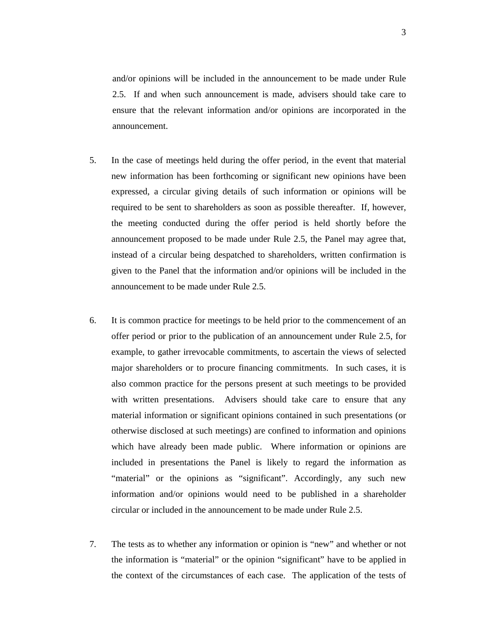and/or opinions will be included in the announcement to be made under Rule 2.5. If and when such announcement is made, advisers should take care to ensure that the relevant information and/or opinions are incorporated in the announcement.

- 5. In the case of meetings held during the offer period, in the event that material new information has been forthcoming or significant new opinions have been expressed, a circular giving details of such information or opinions will be required to be sent to shareholders as soon as possible thereafter. If, however, the meeting conducted during the offer period is held shortly before the announcement proposed to be made under Rule 2.5, the Panel may agree that, instead of a circular being despatched to shareholders, written confirmation is given to the Panel that the information and/or opinions will be included in the announcement to be made under Rule 2.5.
- 6. It is common practice for meetings to be held prior to the commencement of an offer period or prior to the publication of an announcement under Rule 2.5, for example, to gather irrevocable commitments, to ascertain the views of selected major shareholders or to procure financing commitments. In such cases, it is also common practice for the persons present at such meetings to be provided with written presentations. Advisers should take care to ensure that any material information or significant opinions contained in such presentations (or otherwise disclosed at such meetings) are confined to information and opinions which have already been made public. Where information or opinions are included in presentations the Panel is likely to regard the information as "material" or the opinions as "significant". Accordingly, any such new information and/or opinions would need to be published in a shareholder circular or included in the announcement to be made under Rule 2.5.
- 7. The tests as to whether any information or opinion is "new" and whether or not the information is "material" or the opinion "significant" have to be applied in the context of the circumstances of each case. The application of the tests of